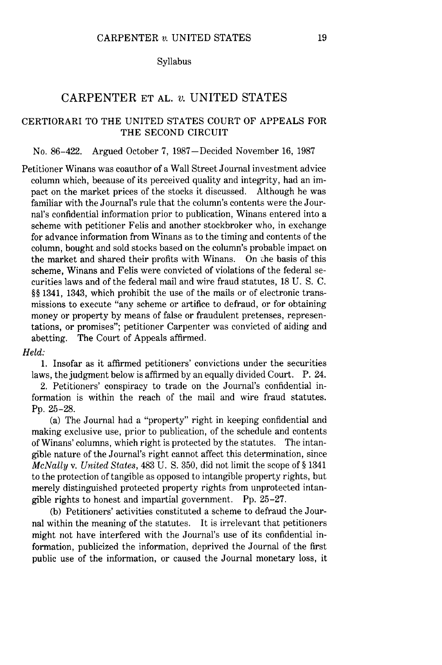#### Syllabus

# CARPENTER ET AL. *v.* UNITED STATES

## CERTIORARI TO THE UNITED STATES COURT OF APPEALS FOR THE SECOND CIRCUIT

## No. 86-422. Argued October 7, 1987-Decided November 16, 1987

Petitioner Winans was coauthor of a Wall Street Journal investment advice column which, because of its perceived quality and integrity, had an impact on the market prices of the stocks it discussed. Although he was familiar with the Journal's rule that the column's contents were the Journal's confidential information prior to publication, Winans entered into a scheme with petitioner Felis and another stockbroker who, in exchange for advance information from Winans as to the timing and contents of the column, bought and sold stocks based on the column's probable impact on the market and shared their profits with Winans. On che basis of this scheme, Winans and Felis were convicted of violations of the federal securities laws and of the federal mail and wire fraud statutes, 18 U. S. C. §§ 1341, 1343, which prohibit the use of the mails or of electronic transmissions to execute "any scheme or artifice to defraud, or for obtaining money or property by means of false or fraudulent pretenses, representations, or promises"; petitioner Carpenter was convicted of aiding and abetting. The Court of Appeals affirmed.

## *Held:*

1. Insofar as it affirmed petitioners' convictions under the securities laws, the judgment below is affirmed by an equally divided Court. P. 24.

2. Petitioners' conspiracy to trade on the Journal's confidential information is within the reach of the mail and wire fraud statutes. Pp. 25-28.

(a) The Journal had a "property" right in keeping confidential and making exclusive use, prior to publication, of the schedule and contents of Winans' columns, which right is protected by the statutes. The intangible nature of the Journal's right cannot affect this determination, since *McNally* v. *United States,* 483 U. **S.** 350, did not limit the scope of § 1341 to the protection of tangible as opposed to intangible property rights, but merely distinguished protected property rights from unprotected intangible rights to honest and impartial government. Pp. 25-27.

(b) Petitioners' activities constituted a scheme to defraud the Journal within the meaning of the statutes. It is irrelevant that petitioners might not have interfered with the Journal's use of its confidential information, publicized the information, deprived the Journal of the first public use of the information, or caused the Journal monetary loss, it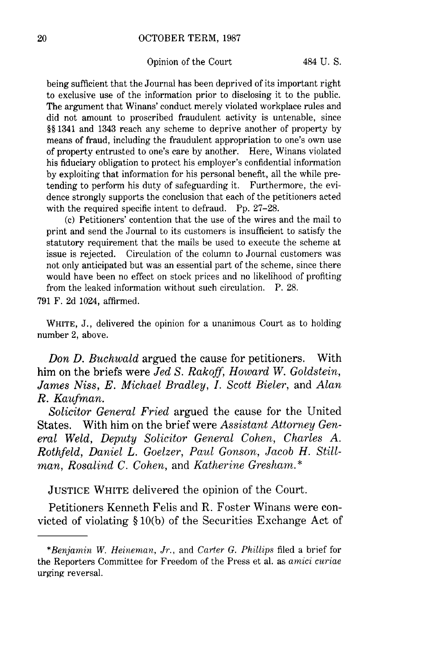#### OCTOBER TERM, 1987

#### Opinion of the Court 484 U.S.

being sufficient that the Journal has been deprived of its important right to exclusive use of the information prior to disclosing it to the public. The argument that Winans' conduct merely violated workplace rules and did not amount to proscribed fraudulent activity is untenable, since §§ 1341 and 1343 reach any scheme to deprive another of property by means of fraud, including the fraudulent appropriation to one's own use of property entrusted to one's care by another. Here, Winans violated his fiduciary obligation to protect his employer's confidential information by exploiting that information for his personal benefit, all the while pretending to perform his duty of safeguarding it. Furthermore, the evidence strongly supports the conclusion that each of the petitioners acted with the required specific intent to defraud. Pp. 27–28.

(c) Petitioners' contention that the use of the wires and the mail to print and send the Journal to its customers is insufficient to satisfy the statutory requirement that the mails be used to execute the scheme at issue is rejected. Circulation of the column to Journal customers was not only anticipated but was an essential part of the scheme, since there would have been no effect on stock prices and no likelihood of profiting from the leaked information without such circulation. P. 28.

791 F. 2d 1024, affirmed.

WHITE, J., delivered the opinion for a unanimous Court as to holding number 2, above.

*Don D. Buchwald* argued the cause for petitioners. With him on the briefs were *Jed S. Rakoff, Howard W. Goldstein, James Niss, E. Michael Bradley, I. Scott Bieler,* and *Alan R. Kaufman.*

*Solicitor General Fried* argued the cause for the United States. With him on the brief were *Assistant Attorney General Weld, Deputy Solicitor General Cohen, Charles A. Rothfeld, Daniel L. Goelzer, Paul Gonson, Jacob H. Stillman, Rosalind C. Cohen,* and *Katherine Gresham.\**

JUSTICE WHITE delivered the opinion of the Court.

Petitioners Kenneth Felis and R. Foster Winans were convicted of violating § 10(b) of the Securities Exchange Act of

*<sup>\*</sup>Benjamin W. Heineman, Jr.,* and *Carter G. Phillips* filed a brief for the Reporters Committee for Freedom of the Press et al. as *amici curiae* urging reversal.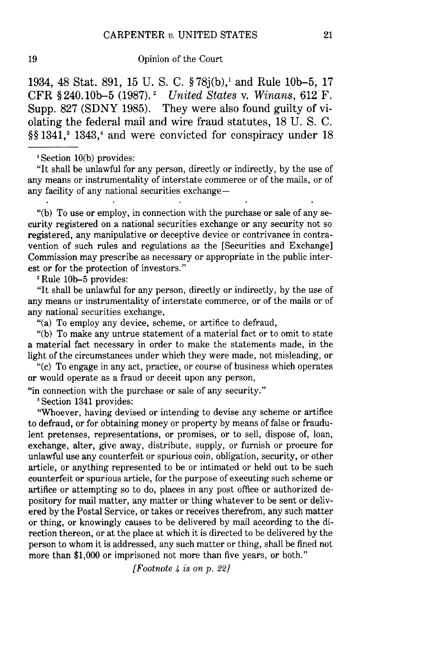### 19 Opinion of the Court

1934, 48 Stat. 891, 15 U. S. C. § 78j(b),' and Rule 10b-5, 17 CFR § 240. 10b-5 (1987).1 *United States* v. *Winans,* 612 F. Supp. 827 (SDNY 1985). They were also found guilty of violating the federal mail and wire fraud statutes, 18 U. S. C. §§1341,<sup>3</sup> 1343,<sup>4</sup> and were convicted for conspiracy under 18

"It shall be unlawful for any person, directly or indirectly, by the use of any means or instrumentality of interstate commerce or of the mails, or of any facility of any national securities exchange-

"(b) To use or employ, in connection with the purchase or sale of any security registered on a national securities exchange or any security not so registered, any manipulative or deceptive device or contrivance in contravention of such rules and regulations as the [Securities and Exchange] Commission may prescribe as necessary or appropriate in the public interest or for the protection of investors."

**I** Rule **10b-5** provides:

"It shall be unlawful for any person, directly or indirectly, by the use of any means or instrumentality of interstate commerce, or of the mails or of any national securities exchange,

"(a) To employ any device, scheme, or artifice to defraud,

"(b) To make any untrue statement of a material fact or to omit to state a material fact necessary in order to make the statements made, in the light of the circumstances under which they were made, not misleading, or

"(c) To engage in any act, practice, or course of business which operates or would operate as a fraud or deceit upon any person,

"in connection with the purchase or sale of any security."

**I** Section 1341 provides:

"Whoever, having devised or intending to devise any scheme or artifice to defraud, or for obtaining money or property by means of false or fraudulent pretenses, representations, or promises, or to sell, dispose of, loan, exchange, alter, give away, distribute, supply, or furnish or procure for unlawful use any counterfeit or spurious coin, obligation, security, or other article, or anything represented to be or intimated or held out to be such counterfeit or spurious article, for the purpose of executing such scheme or artifice or attempting so to do, places in any post office or authorized depository for mail matter, any matter or thing whatever to be sent or delivered by the Postal Service, or takes or receives therefrom, any such matter or thing, or knowingly causes to be delivered by mail according to the direction thereon, or at the place at which it is directed to be delivered by the person to whom it is addressed, any such matter or thing, shall be fined not more than \$1,000 or imprisoned not more than five years, or both."

*[Footnote 4 is on p.* 22]

<sup>&#</sup>x27;Section 10(b) provides: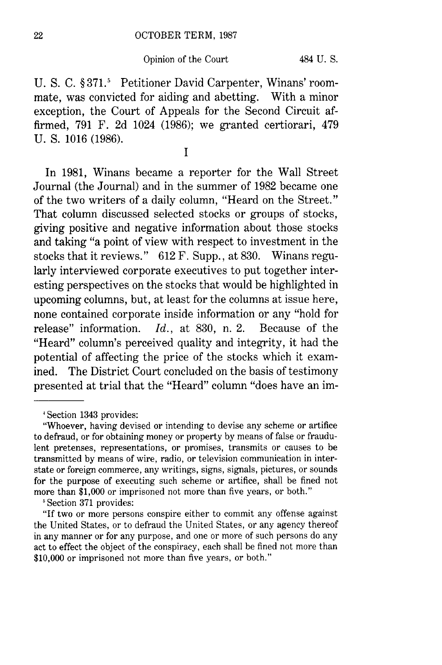U. S. C. § **371.5** Petitioner David Carpenter, Winans' roommate, was convicted for aiding and abetting. With a minor exception, the Court of Appeals for the Second Circuit affirmed, 791 F. 2d 1024 (1986); we granted certiorari, 479 U. S. 1016 (1986).

**I**

In 1981, Winans became a reporter for the Wall Street Journal (the Journal) and in the summer of 1982 became one of the two writers of a daily column, "Heard on the Street." That column discussed selected stocks or groups of stocks, giving positive and negative information about those stocks and taking "a point of view with respect to investment in the stocks that it reviews." 612 F. Supp., at 830. Winans regularly interviewed corporate executives to put together interesting perspectives on the stocks that would be highlighted in upcoming columns, but, at least for the columns at issue here, none contained corporate inside information or any "hold for release" information. *Id.,* at 830, n. 2. Because of the "Heard" column's perceived quality and integrity, it had the potential of affecting the price of the stocks which it examined. The District Court concluded on the basis of testimony presented at trial that the "Heard" column "does have an im-

**'** Section 371 provides:

"If two or more persons conspire either to commit any offense against the United States, or to defraud the United States, or any agency thereof in any manner or for any purpose, and one or more of such persons do any act to effect the object of the conspiracy, each shall be fined not more than \$10,000 or imprisoned not more than five years, or both."

Section 1343 provides:

<sup>&</sup>quot;Whoever, having devised or intending to devise any scheme or artifice to defraud, or for obtaining money or property by means of false or fraudulent pretenses, representations, or promises, transmits or causes to be transmitted by means of wire, radio, or television communication in interstate or foreign commerce, any writings, signs, signals, pictures, or sounds for the purpose of executing such scheme or artifice, shall be fined not more than \$1,000 or imprisoned not more than five years, or both."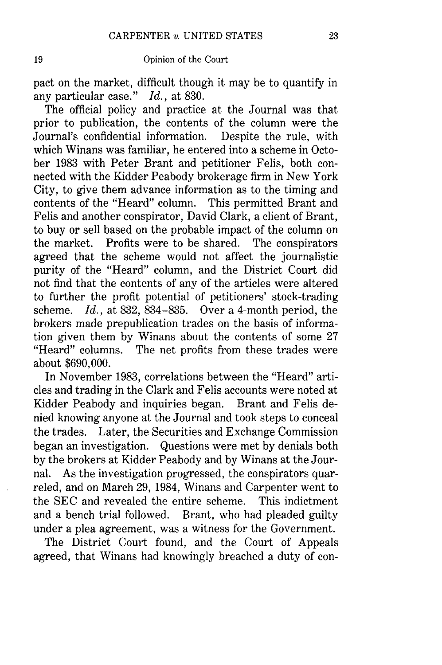pact on the market, difficult though it may be to quantify in any particular case." *Id.,* at 830.

The official policy and practice at the Journal was that prior to publication, the contents of the column were the Journal's confidential information. Despite the rule, with which Winans was familiar, he entered into a scheme in October 1983 with Peter Brant and petitioner Felis, both connected with the Kidder Peabody brokerage firm in New York City, to give them advance information as to the timing and contents of the "Heard" column. This permitted Brant and Felis and another conspirator, David Clark, a client of Brant, to buy or sell based on the probable impact of the column on the market. Profits were to be shared. The conspirators agreed that the scheme would not affect the journalistic purity of the "Heard" column, and the District Court did not find that the contents of any of the articles were altered to further the profit potential of petitioners' stock-trading scheme. *Id.,* at 832, 834-835. Over a 4-month period, the brokers made prepublication trades on the basis of information given them by Winans about the contents of some 27 "Heard" columns. The net profits from these trades were about \$690,000.

In November 1983, correlations between the "Heard" articles and trading in the Clark and Felis accounts were noted at Kidder Peabody and inquiries began. Brant and Felis denied knowing anyone at the Journal and took steps to conceal the trades. Later, the Securities and Exchange Commission began an investigation. Questions were met by denials both by the brokers at Kidder Peabody and by Winans at the Journal. As the investigation progressed, the conspirators quarreled, and on March 29, 1984, Winans and Carpenter went to the SEC and revealed the entire scheme. This indictment and a bench trial followed. Brant, who had pleaded guilty under a plea agreement, was a witness for the Government.

The District Court found, and the Court of Appeals agreed, that Winans had knowingly breached a duty of con-

23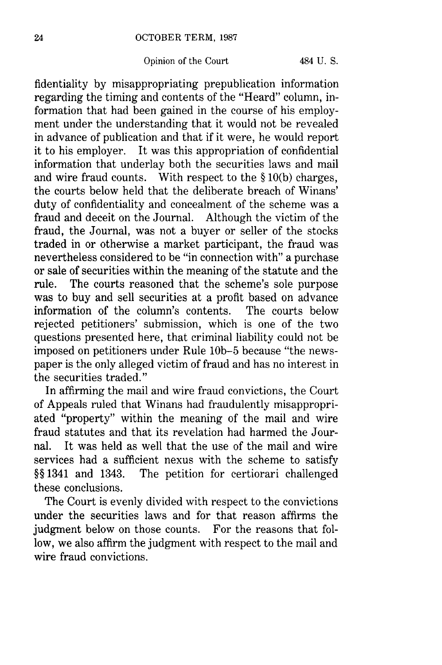fidentiality by misappropriating prepublication information regarding the timing and contents of the "Heard" column, information that had been gained in the course of his employment under the understanding that it would not be revealed in advance of publication and that if it were, he would report it to his employer. It was this appropriation of confidential information that underlay both the securities laws and mail and wire fraud counts. With respect to the § 10(b) charges, the courts below held that the deliberate breach of Winans' duty of confidentiality and concealment of the scheme was a fraud and deceit on the Journal. Although the victim of the fraud, the Journal, was not a buyer or seller of the stocks traded in or otherwise a market participant, the fraud was nevertheless considered to be "in connection with" a purchase or sale of securities within the meaning of the statute and the rule. The courts reasoned that the scheme's sole purpose was to buy and sell securities at a profit based on advance information of the column's contents. The courts below rejected petitioners' submission, which is one of the two questions presented here, that criminal liability could not be imposed on petitioners under Rule **10b-5** because "the newspaper is the only alleged victim of fraud and has no interest in the securities traded."

In affirming the mail and wire fraud convictions, the Court of Appeals ruled that Winans had fraudulently misappropriated "property" within the meaning of the mail and wire fraud statutes and that its revelation had harmed the Journal. It was held as well that the use of the mail and wire services had a sufficient nexus with the scheme to satisfy §§1341 and 1343. The petition for certiorari challenged these conclusions.

The Court is evenly divided with respect to the convictions under the securities laws and for that reason affirms the judgment below on those counts. For the reasons that follow, we also affirm the judgment with respect to the mail and wire fraud convictions.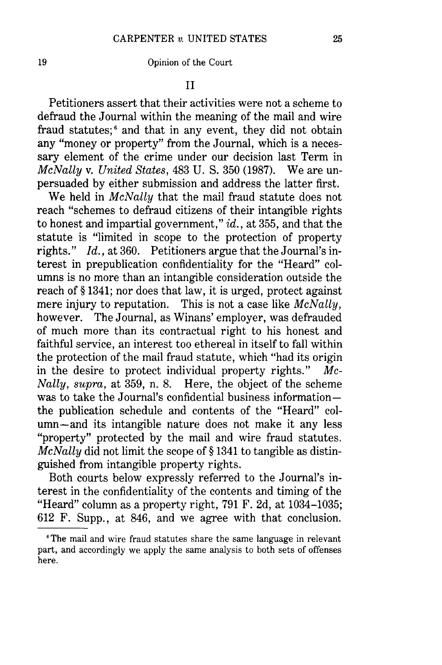19 Opinion of the Court

II

Petitioners assert that their activities were not a scheme to defraud the Journal within the meaning of the mail and wire fraud statutes; $\delta$  and that in any event, they did not obtain any "money or property" from the Journal, which is a necessary element of the crime under our decision last Term in *McNally* v. *United States,* 483 U. S. 350 (1987). We are unpersuaded by either submission and address the latter first.

We held in *McNally* that the mail fraud statute does not reach "schemes to defraud citizens of their intangible rights to honest and impartial government," *id.,* at 355, and that the statute is "limited in scope to the protection of property rights." *Id.,* at 360. Petitioners argue that the Journal's interest in prepublication confidentiality for the "Heard" columns is no more than an intangible consideration outside the reach of § 1341; nor does that law, it is urged, protect against mere injury to reputation. This is not a case like *McNally,* however. The Journal, as Winans' employer, was defrauded of much more than its contractual right to his honest and faithful service, an interest too ethereal in itself to fall within the protection of the mail fraud statute, which "had its origin in the desire to protect individual property rights." *Mc-Nally, supra,* at 359, n. 8. Here, the object of the scheme was to take the Journal's confidential business informationthe publication schedule and contents of the "Heard" column-and its intangible nature does not make it any less "property" protected by the mail and wire fraud statutes. *McNally* did not limit the scope of § 1341 to tangible as distinguished from intangible property rights.

Both courts below expressly referred to the Journal's interest in the confidentiality of the contents and timing of the "Heard" column as a property right, 791 F. 2d, at 1034-1035; 612 F. Supp., at 846, and we agree with that conclusion.

<sup>&</sup>lt;sup>6</sup>The mail and wire fraud statutes share the same language in relevant part, and accordingly we apply the same analysis to both sets of offenses here.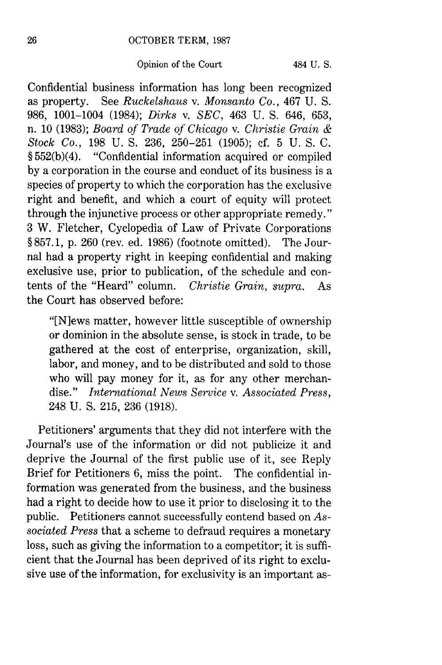Confidential business information has long been recognized as property. See *Ruckelshaus* v. *Monsanto* Co., 467 U. S. 986, 1001-1004 (1984); *Dirks v. SEC,* 463 U. S. 646, 653, n. 10 (1983); *Board of Trade of Chicago v. Christie Grain & Stock Co.,* 198 U. S. 236, 250-251 (1905); cf. 5 U. S. C. § 552(b)(4). "Confidential information acquired or compiled by a corporation in the course and conduct of its business is a species of property to which the corporation has the exclusive right and benefit, and which a court of equity will protect through the injunctive process or other appropriate remedy." 3 W. Fletcher, Cyclopedia of Law of Private Corporations **§** 857.1, p. 260 (rev. ed. 1986) (footnote omitted). The Journal had a property right in keeping confidential and making exclusive use, prior to publication, of the schedule and contents of the "Heard" column. *Christie Grain, supra.* As the Court has observed before:

"IN]ews matter, however little susceptible of ownership or dominion in the absolute sense, is stock in trade, to be gathered at the cost of enterprise, organization, skill, labor, and money, and to be distributed and sold to those who will pay money for it, as for any other merchandise." *International News Service v. Associated Press,* 248 U. **S.** 215, 236 (1918).

Petitioners' arguments that they did not interfere with the Journal's use of the information or did not publicize it and deprive the Journal of the first public use of it, see Reply Brief for Petitioners 6, miss the point. The confidential information was generated from the business, and the business had a right to decide how to use it prior to disclosing it to the public. Petitioners cannot successfully contend based on *Associated Press* that a scheme to defraud requires a monetary loss, such as giving the information to a competitor; it is sufficient that the Journal has been deprived of its right to exclusive use of the information, for exclusivity is an important as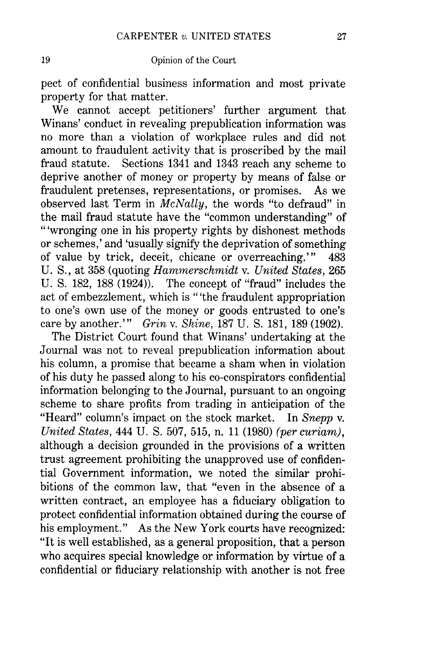pect of confidential business information and most private property for that matter.

We cannot accept petitioners' further argument that Winans' conduct in revealing prepublication information was no more than a violation of workplace rules and did not amount to fraudulent activity that is proscribed by the mail fraud statute. Sections 1341 and 1343 reach any scheme to deprive another of money or property by means of false or fraudulent pretenses, representations, or promises. As we observed last Term in *McNally,* the words "to defraud" in the mail fraud statute have the "common understanding" of "'wronging one in his property rights by dishonest methods or schemes,' and 'usually signify the deprivation of something of value by trick, deceit, chicane or overreaching."' 483 U. S., at 358 (quoting *Hammerschmidt* v. *United States,* 265 U. S. 182, 188 (1924)). The concept of "fraud" includes the act of embezzlement, which is "'the fraudulent appropriation to one's own use of the money or goods entrusted to one's care by another."' *Grin* v. *Shine,* 187 U. S. 181, 189 (1902).

The District Court found that Winans' undertaking at the Journal was not to reveal prepublication information about his column, a promise that became a sham when in violation of his duty he passed along to his co-conspirators confidential information belonging to the Journal, pursuant to an ongoing scheme to share profits from trading in anticipation of the "Heard" column's impact on the stock market. In *Snepp* v. *United States,* 444 U. S. 507, 515, n. 11 (1980) *(per curiam),* although a decision grounded in the provisions of a written trust agreement prohibiting the unapproved use of confidential Government information, we noted the similar prohibitions of the common law, that "even in the absence of a written contract, an employee has a fiduciary obligation to protect confidential information obtained during the course of his employment." As the New York courts have recognized: "It is well established, as a general proposition, that a person who acquires special knowledge or information by virtue of a confidential or fiduciary relationship with another is not free